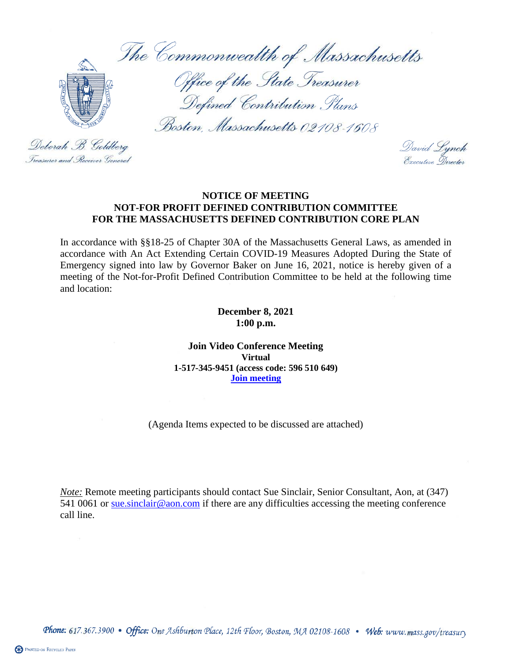The Commonwealth of Massachusetts



Office of the State Treasurer Defined Contribution Plans

Boston, Massachusetts 02108-1608

Deborah B. Goldberg Treasurer and Receiver General

David Lynch<br>Executive Director

## **NOTICE OF MEETING NOT-FOR PROFIT DEFINED CONTRIBUTION COMMITTEE FOR THE MASSACHUSETTS DEFINED CONTRIBUTION CORE PLAN**

In accordance with §§18-25 of Chapter 30A of the Massachusetts General Laws, as amended in accordance with An Act Extending Certain COVID-19 Measures Adopted During the State of Emergency signed into law by Governor Baker on June 16, 2021, notice is hereby given of a meeting of the Not-for-Profit Defined Contribution Committee to be held at the following time and location:

> **December 8, 2021 1:00 p.m.**

**Join Video Conference Meeting Virtual 1-517-345-9451 (access code: 596 510 649) [Join meeting](https://aon.webex.com/join/sue.sinclair)**

(Agenda Items expected to be discussed are attached)

*Note:* Remote meeting participants should contact Sue Sinclair, Senior Consultant, Aon, at (347) 541 0061 or sue sinclair@aon.com if there are any difficulties accessing the meeting conference call line.